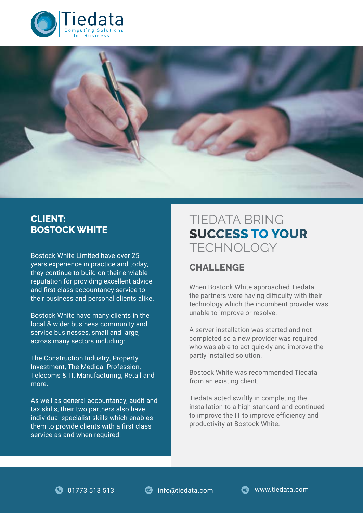



## **CLIENT: BOSTOCK WHITE**

Bostock White Limited have over 25 years experience in practice and today, they continue to build on their enviable reputation for providing excellent advice and first class accountancy service to their business and personal clients alike.

Bostock White have many clients in the local & wider business community and service businesses, small and large, across many sectors including:

The Construction Industry, Property Investment, The Medical Profession, Telecoms & IT, Manufacturing, Retail and more.

As well as general accountancy, audit and tax skills, their two partners also have individual specialist skills which enables them to provide clients with a first class service as and when required.

# TIEDATA BRING **SUCCESS TO YOUR** TECHNOLOGY

# **CHALLENGE**

When Bostock White approached Tiedata the partners were having difficulty with their technology which the incumbent provider was unable to improve or resolve.

A server installation was started and not completed so a new provider was required who was able to act quickly and improve the partly installed solution.

Bostock White was recommended Tiedata from an existing client.

Tiedata acted swiftly in completing the installation to a high standard and continued to improve the IT to improve efficiency and productivity at Bostock White.

**0** 01773 513 513 **a** info@tiedata.com **b** www.tiedata.com